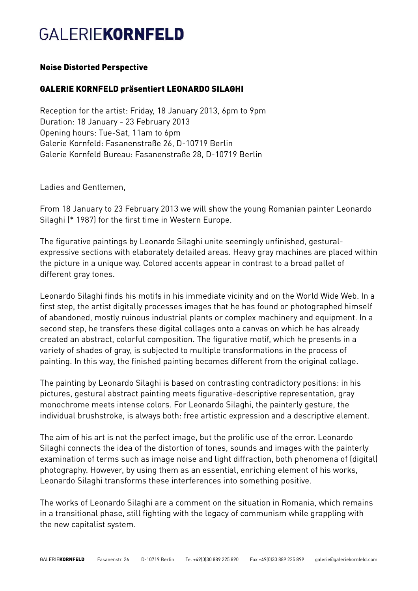# **GALERIEKORNFELD**

### Noise Distorted Perspective

## GALERIE KORNFELD präsentiert LEONARDO SILAGHI

Reception for the artist: Friday, 18 January 2013, 6pm to 9pm Duration: 18 January - 23 February 2013 Opening hours: Tue-Sat, 11am to 6pm Galerie Kornfeld: Fasanenstraße 26, D-10719 Berlin Galerie Kornfeld Bureau: Fasanenstraße 28, D-10719 Berlin

Ladies and Gentlemen,

From 18 January to 23 February 2013 we will show the young Romanian painter Leonardo Silaghi (\* 1987) for the first time in Western Europe.

The figurative paintings by Leonardo Silaghi unite seemingly unfinished, gesturalexpressive sections with elaborately detailed areas. Heavy gray machines are placed within the picture in a unique way. Colored accents appear in contrast to a broad pallet of different gray tones.

Leonardo Silaghi finds his motifs in his immediate vicinity and on the World Wide Web. In a first step, the artist digitally processes images that he has found or photographed himself of abandoned, mostly ruinous industrial plants or complex machinery and equipment. In a second step, he transfers these digital collages onto a canvas on which he has already created an abstract, colorful composition. The figurative motif, which he presents in a variety of shades of gray, is subjected to multiple transformations in the process of painting. In this way, the finished painting becomes different from the original collage.

The painting by Leonardo Silaghi is based on contrasting contradictory positions: in his pictures, gestural abstract painting meets figurative-descriptive representation, gray monochrome meets intense colors. For Leonardo Silaghi, the painterly gesture, the individual brushstroke, is always both: free artistic expression and a descriptive element.

The aim of his art is not the perfect image, but the prolific use of the error. Leonardo Silaghi connects the idea of the distortion of tones, sounds and images with the painterly examination of terms such as image noise and light diffraction, both phenomena of (digital) photography. However, by using them as an essential, enriching element of his works, Leonardo Silaghi transforms these interferences into something positive.

The works of Leonardo Silaghi are a comment on the situation in Romania, which remains in a transitional phase, still fighting with the legacy of communism while grappling with the new capitalist system.